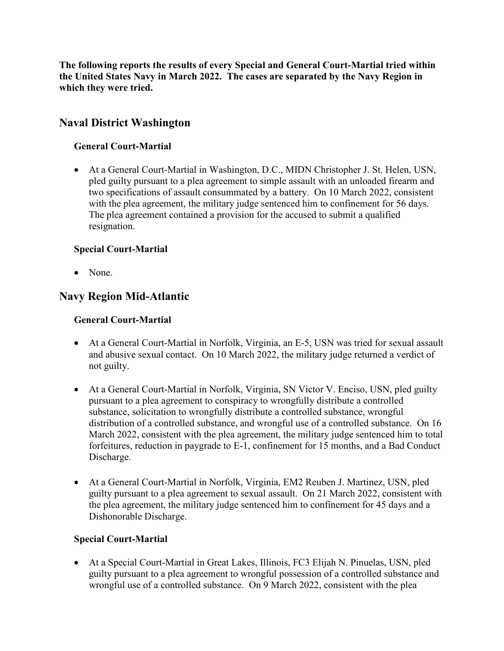**The following reports the results of every Special and General Court-Martial tried within the United States Navy in March 2022. The cases are separated by the Navy Region in which they were tried.**

# **Naval District Washington**

# **General Court-Martial**

• At a General Court-Martial in Washington, D.C., MIDN Christopher J. St. Helen, USN, pled guilty pursuant to a plea agreement to simple assault with an unloaded firearm and two specifications of assault consummated by a battery. On 10 March 2022, consistent with the plea agreement, the military judge sentenced him to confinement for 56 days. The plea agreement contained a provision for the accused to submit a qualified resignation.

# **Special Court-Martial**

• None.

# **Navy Region Mid-Atlantic**

### **General Court-Martial**

- At a General Court-Martial in Norfolk, Virginia, an E-5, USN was tried for sexual assault and abusive sexual contact. On 10 March 2022, the military judge returned a verdict of not guilty.
- At a General Court-Martial in Norfolk, Virginia, SN Victor V. Enciso, USN, pled guilty pursuant to a plea agreement to conspiracy to wrongfully distribute a controlled substance, solicitation to wrongfully distribute a controlled substance, wrongful distribution of a controlled substance, and wrongful use of a controlled substance. On 16 March 2022, consistent with the plea agreement, the military judge sentenced him to total forfeitures, reduction in paygrade to E-1, confinement for 15 months, and a Bad Conduct Discharge.
- At a General Court-Martial in Norfolk, Virginia, EM2 Reuben J. Martinez, USN, pled guilty pursuant to a plea agreement to sexual assault. On 21 March 2022, consistent with the plea agreement, the military judge sentenced him to confinement for 45 days and a Dishonorable Discharge.

### **Special Court-Martial**

• At a Special Court-Martial in Great Lakes, Illinois, FC3 Elijah N. Pinuelas, USN, pled guilty pursuant to a plea agreement to wrongful possession of a controlled substance and wrongful use of a controlled substance. On 9 March 2022, consistent with the plea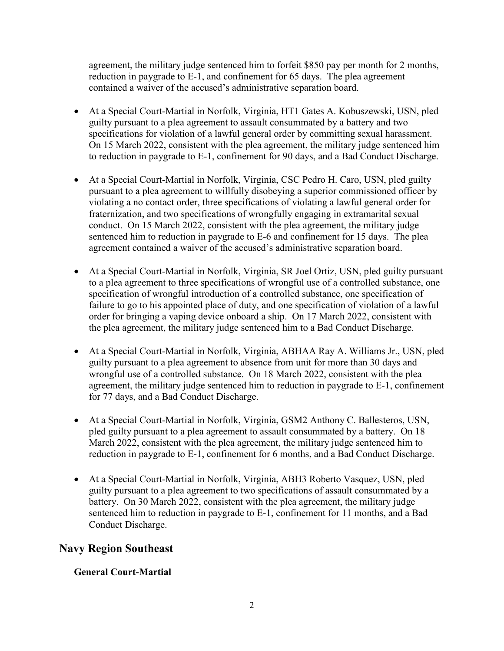agreement, the military judge sentenced him to forfeit \$850 pay per month for 2 months, reduction in paygrade to E-1, and confinement for 65 days. The plea agreement contained a waiver of the accused's administrative separation board.

- At a Special Court-Martial in Norfolk, Virginia, HT1 Gates A. Kobuszewski, USN, pled guilty pursuant to a plea agreement to assault consummated by a battery and two specifications for violation of a lawful general order by committing sexual harassment. On 15 March 2022, consistent with the plea agreement, the military judge sentenced him to reduction in paygrade to E-1, confinement for 90 days, and a Bad Conduct Discharge.
- At a Special Court-Martial in Norfolk, Virginia, CSC Pedro H. Caro, USN, pled guilty pursuant to a plea agreement to willfully disobeying a superior commissioned officer by violating a no contact order, three specifications of violating a lawful general order for fraternization, and two specifications of wrongfully engaging in extramarital sexual conduct. On 15 March 2022, consistent with the plea agreement, the military judge sentenced him to reduction in paygrade to E-6 and confinement for 15 days. The plea agreement contained a waiver of the accused's administrative separation board.
- At a Special Court-Martial in Norfolk, Virginia, SR Joel Ortiz, USN, pled guilty pursuant to a plea agreement to three specifications of wrongful use of a controlled substance, one specification of wrongful introduction of a controlled substance, one specification of failure to go to his appointed place of duty, and one specification of violation of a lawful order for bringing a vaping device onboard a ship. On 17 March 2022, consistent with the plea agreement, the military judge sentenced him to a Bad Conduct Discharge.
- At a Special Court-Martial in Norfolk, Virginia, ABHAA Ray A. Williams Jr., USN, pled guilty pursuant to a plea agreement to absence from unit for more than 30 days and wrongful use of a controlled substance. On 18 March 2022, consistent with the plea agreement, the military judge sentenced him to reduction in paygrade to E-1, confinement for 77 days, and a Bad Conduct Discharge.
- At a Special Court-Martial in Norfolk, Virginia, GSM2 Anthony C. Ballesteros, USN, pled guilty pursuant to a plea agreement to assault consummated by a battery. On 18 March 2022, consistent with the plea agreement, the military judge sentenced him to reduction in paygrade to E-1, confinement for 6 months, and a Bad Conduct Discharge.
- At a Special Court-Martial in Norfolk, Virginia, ABH3 Roberto Vasquez, USN, pled guilty pursuant to a plea agreement to two specifications of assault consummated by a battery. On 30 March 2022, consistent with the plea agreement, the military judge sentenced him to reduction in paygrade to E-1, confinement for 11 months, and a Bad Conduct Discharge.

# **Navy Region Southeast**

### **General Court-Martial**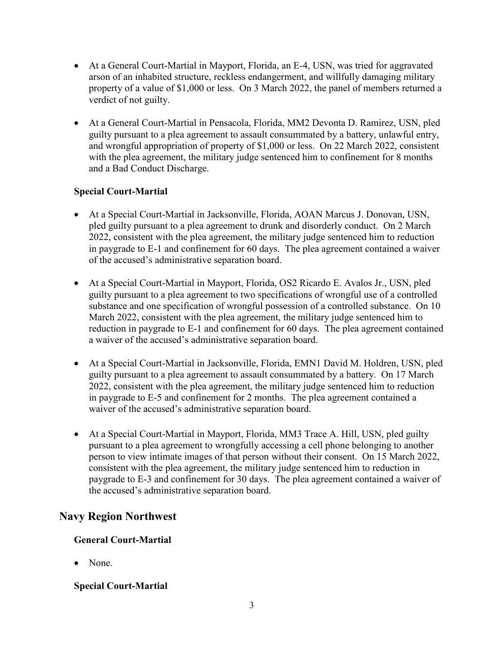- At a General Court-Martial in Mayport, Florida, an E-4, USN, was tried for aggravated arson of an inhabited structure, reckless endangerment, and willfully damaging military property of a value of \$1,000 or less. On 3 March 2022, the panel of members returned a verdict of not guilty.
- At a General Court-Martial in Pensacola, Florida, MM2 Devonta D. Ramirez, USN, pled guilty pursuant to a plea agreement to assault consummated by a battery, unlawful entry, and wrongful appropriation of property of \$1,000 or less. On 22 March 2022, consistent with the plea agreement, the military judge sentenced him to confinement for 8 months and a Bad Conduct Discharge.

### **Special Court-Martial**

- At a Special Court-Martial in Jacksonville, Florida, AOAN Marcus J. Donovan, USN, pled guilty pursuant to a plea agreement to drunk and disorderly conduct. On 2 March 2022, consistent with the plea agreement, the military judge sentenced him to reduction in paygrade to E-1 and confinement for 60 days. The plea agreement contained a waiver of the accused's administrative separation board.
- At a Special Court-Martial in Mayport, Florida, OS2 Ricardo E. Avalos Jr., USN, pled guilty pursuant to a plea agreement to two specifications of wrongful use of a controlled substance and one specification of wrongful possession of a controlled substance. On 10 March 2022, consistent with the plea agreement, the military judge sentenced him to reduction in paygrade to E-1 and confinement for 60 days. The plea agreement contained a waiver of the accused's administrative separation board.
- At a Special Court-Martial in Jacksonville, Florida, EMN1 David M. Holdren, USN, pled guilty pursuant to a plea agreement to assault consummated by a battery. On 17 March 2022, consistent with the plea agreement, the military judge sentenced him to reduction in paygrade to E-5 and confinement for 2 months. The plea agreement contained a waiver of the accused's administrative separation board.
- At a Special Court-Martial in Mayport, Florida, MM3 Trace A. Hill, USN, pled guilty pursuant to a plea agreement to wrongfully accessing a cell phone belonging to another person to view intimate images of that person without their consent. On 15 March 2022, consistent with the plea agreement, the military judge sentenced him to reduction in paygrade to E-3 and confinement for 30 days. The plea agreement contained a waiver of the accused's administrative separation board.

# **Navy Region Northwest**

### **General Court-Martial**

• None.

### **Special Court-Martial**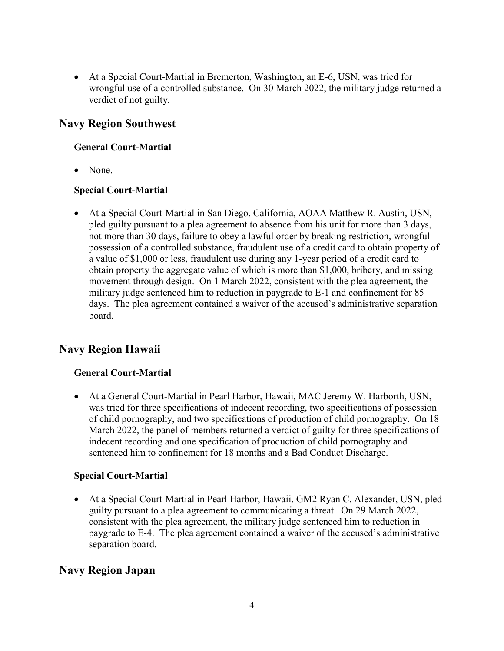• At a Special Court-Martial in Bremerton, Washington, an E-6, USN, was tried for wrongful use of a controlled substance. On 30 March 2022, the military judge returned a verdict of not guilty.

# **Navy Region Southwest**

## **General Court-Martial**

• None.

### **Special Court-Martial**

• At a Special Court-Martial in San Diego, California, AOAA Matthew R. Austin, USN, pled guilty pursuant to a plea agreement to absence from his unit for more than 3 days, not more than 30 days, failure to obey a lawful order by breaking restriction, wrongful possession of a controlled substance, fraudulent use of a credit card to obtain property of a value of \$1,000 or less, fraudulent use during any 1-year period of a credit card to obtain property the aggregate value of which is more than \$1,000, bribery, and missing movement through design. On 1 March 2022, consistent with the plea agreement, the military judge sentenced him to reduction in paygrade to E-1 and confinement for 85 days. The plea agreement contained a waiver of the accused's administrative separation board.

# **Navy Region Hawaii**

### **General Court-Martial**

• At a General Court-Martial in Pearl Harbor, Hawaii, MAC Jeremy W. Harborth, USN, was tried for three specifications of indecent recording, two specifications of possession of child pornography, and two specifications of production of child pornography. On 18 March 2022, the panel of members returned a verdict of guilty for three specifications of indecent recording and one specification of production of child pornography and sentenced him to confinement for 18 months and a Bad Conduct Discharge.

### **Special Court-Martial**

• At a Special Court-Martial in Pearl Harbor, Hawaii, GM2 Ryan C. Alexander, USN, pled guilty pursuant to a plea agreement to communicating a threat. On 29 March 2022, consistent with the plea agreement, the military judge sentenced him to reduction in paygrade to E-4. The plea agreement contained a waiver of the accused's administrative separation board.

# **Navy Region Japan**